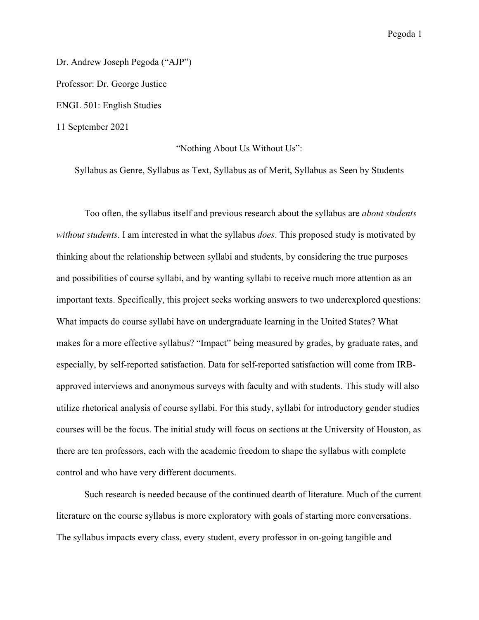Dr. Andrew Joseph Pegoda ("AJP") Professor: Dr. George Justice ENGL 501: English Studies 11 September 2021

## "Nothing About Us Without Us":

Syllabus as Genre, Syllabus as Text, Syllabus as of Merit, Syllabus as Seen by Students

Too often, the syllabus itself and previous research about the syllabus are *about students without students*. I am interested in what the syllabus *does*. This proposed study is motivated by thinking about the relationship between syllabi and students, by considering the true purposes and possibilities of course syllabi, and by wanting syllabi to receive much more attention as an important texts. Specifically, this project seeks working answers to two underexplored questions: What impacts do course syllabi have on undergraduate learning in the United States? What makes for a more effective syllabus? "Impact" being measured by grades, by graduate rates, and especially, by self-reported satisfaction. Data for self-reported satisfaction will come from IRBapproved interviews and anonymous surveys with faculty and with students. This study will also utilize rhetorical analysis of course syllabi. For this study, syllabi for introductory gender studies courses will be the focus. The initial study will focus on sections at the University of Houston, as there are ten professors, each with the academic freedom to shape the syllabus with complete control and who have very different documents.

Such research is needed because of the continued dearth of literature. Much of the current literature on the course syllabus is more exploratory with goals of starting more conversations. The syllabus impacts every class, every student, every professor in on-going tangible and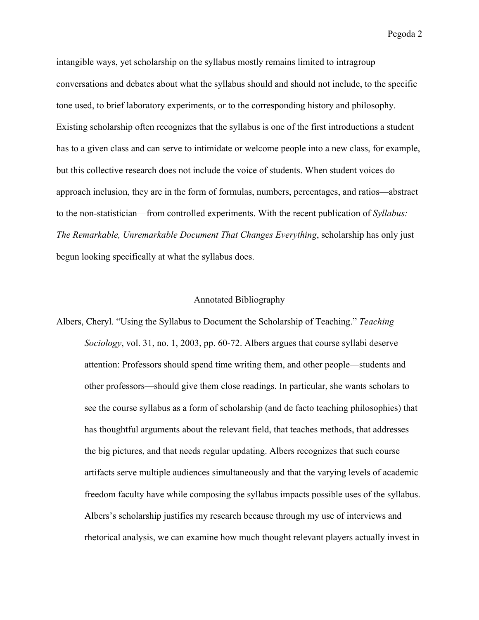intangible ways, yet scholarship on the syllabus mostly remains limited to intragroup conversations and debates about what the syllabus should and should not include, to the specific tone used, to brief laboratory experiments, or to the corresponding history and philosophy. Existing scholarship often recognizes that the syllabus is one of the first introductions a student has to a given class and can serve to intimidate or welcome people into a new class, for example, but this collective research does not include the voice of students. When student voices do approach inclusion, they are in the form of formulas, numbers, percentages, and ratios—abstract to the non-statistician—from controlled experiments. With the recent publication of *Syllabus: The Remarkable, Unremarkable Document That Changes Everything*, scholarship has only just begun looking specifically at what the syllabus does.

## Annotated Bibliography

Albers, Cheryl. "Using the Syllabus to Document the Scholarship of Teaching." *Teaching Sociology*, vol. 31, no. 1, 2003, pp. 60-72. Albers argues that course syllabi deserve attention: Professors should spend time writing them, and other people—students and other professors—should give them close readings. In particular, she wants scholars to see the course syllabus as a form of scholarship (and de facto teaching philosophies) that has thoughtful arguments about the relevant field, that teaches methods, that addresses the big pictures, and that needs regular updating. Albers recognizes that such course artifacts serve multiple audiences simultaneously and that the varying levels of academic freedom faculty have while composing the syllabus impacts possible uses of the syllabus. Albers's scholarship justifies my research because through my use of interviews and rhetorical analysis, we can examine how much thought relevant players actually invest in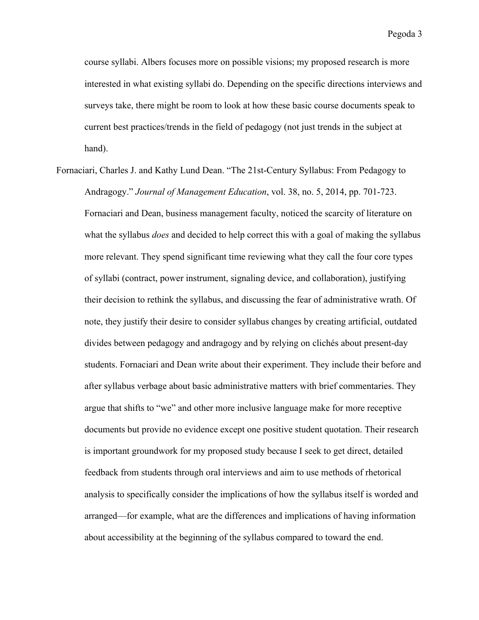course syllabi. Albers focuses more on possible visions; my proposed research is more interested in what existing syllabi do. Depending on the specific directions interviews and surveys take, there might be room to look at how these basic course documents speak to current best practices/trends in the field of pedagogy (not just trends in the subject at hand).

Fornaciari, Charles J. and Kathy Lund Dean. "The 21st-Century Syllabus: From Pedagogy to Andragogy." *Journal of Management Education*, vol. 38, no. 5, 2014, pp. 701-723. Fornaciari and Dean, business management faculty, noticed the scarcity of literature on what the syllabus *does* and decided to help correct this with a goal of making the syllabus more relevant. They spend significant time reviewing what they call the four core types of syllabi (contract, power instrument, signaling device, and collaboration), justifying their decision to rethink the syllabus, and discussing the fear of administrative wrath. Of note, they justify their desire to consider syllabus changes by creating artificial, outdated divides between pedagogy and andragogy and by relying on clichés about present-day students. Fornaciari and Dean write about their experiment. They include their before and after syllabus verbage about basic administrative matters with brief commentaries. They argue that shifts to "we" and other more inclusive language make for more receptive documents but provide no evidence except one positive student quotation. Their research is important groundwork for my proposed study because I seek to get direct, detailed feedback from students through oral interviews and aim to use methods of rhetorical analysis to specifically consider the implications of how the syllabus itself is worded and arranged—for example, what are the differences and implications of having information about accessibility at the beginning of the syllabus compared to toward the end.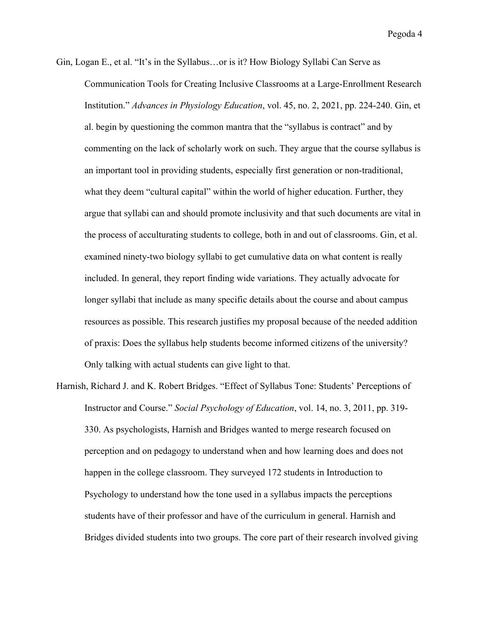- Gin, Logan E., et al. "It's in the Syllabus…or is it? How Biology Syllabi Can Serve as Communication Tools for Creating Inclusive Classrooms at a Large-Enrollment Research Institution." *Advances in Physiology Education*, vol. 45, no. 2, 2021, pp. 224-240. Gin, et al. begin by questioning the common mantra that the "syllabus is contract" and by commenting on the lack of scholarly work on such. They argue that the course syllabus is an important tool in providing students, especially first generation or non-traditional, what they deem "cultural capital" within the world of higher education. Further, they argue that syllabi can and should promote inclusivity and that such documents are vital in the process of acculturating students to college, both in and out of classrooms. Gin, et al. examined ninety-two biology syllabi to get cumulative data on what content is really included. In general, they report finding wide variations. They actually advocate for longer syllabi that include as many specific details about the course and about campus resources as possible. This research justifies my proposal because of the needed addition of praxis: Does the syllabus help students become informed citizens of the university? Only talking with actual students can give light to that.
- Harnish, Richard J. and K. Robert Bridges. "Effect of Syllabus Tone: Students' Perceptions of Instructor and Course." *Social Psychology of Education*, vol. 14, no. 3, 2011, pp. 319- 330. As psychologists, Harnish and Bridges wanted to merge research focused on perception and on pedagogy to understand when and how learning does and does not happen in the college classroom. They surveyed 172 students in Introduction to Psychology to understand how the tone used in a syllabus impacts the perceptions students have of their professor and have of the curriculum in general. Harnish and Bridges divided students into two groups. The core part of their research involved giving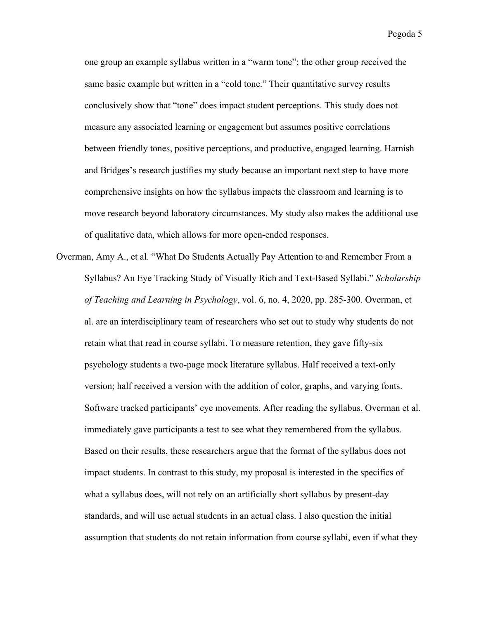one group an example syllabus written in a "warm tone"; the other group received the same basic example but written in a "cold tone." Their quantitative survey results conclusively show that "tone" does impact student perceptions. This study does not measure any associated learning or engagement but assumes positive correlations between friendly tones, positive perceptions, and productive, engaged learning. Harnish and Bridges's research justifies my study because an important next step to have more comprehensive insights on how the syllabus impacts the classroom and learning is to move research beyond laboratory circumstances. My study also makes the additional use of qualitative data, which allows for more open-ended responses.

Overman, Amy A., et al. "What Do Students Actually Pay Attention to and Remember From a Syllabus? An Eye Tracking Study of Visually Rich and Text-Based Syllabi." *Scholarship of Teaching and Learning in Psychology*, vol. 6, no. 4, 2020, pp. 285-300. Overman, et al. are an interdisciplinary team of researchers who set out to study why students do not retain what that read in course syllabi. To measure retention, they gave fifty-six psychology students a two-page mock literature syllabus. Half received a text-only version; half received a version with the addition of color, graphs, and varying fonts. Software tracked participants' eye movements. After reading the syllabus, Overman et al. immediately gave participants a test to see what they remembered from the syllabus. Based on their results, these researchers argue that the format of the syllabus does not impact students. In contrast to this study, my proposal is interested in the specifics of what a syllabus does, will not rely on an artificially short syllabus by present-day standards, and will use actual students in an actual class. I also question the initial assumption that students do not retain information from course syllabi, even if what they